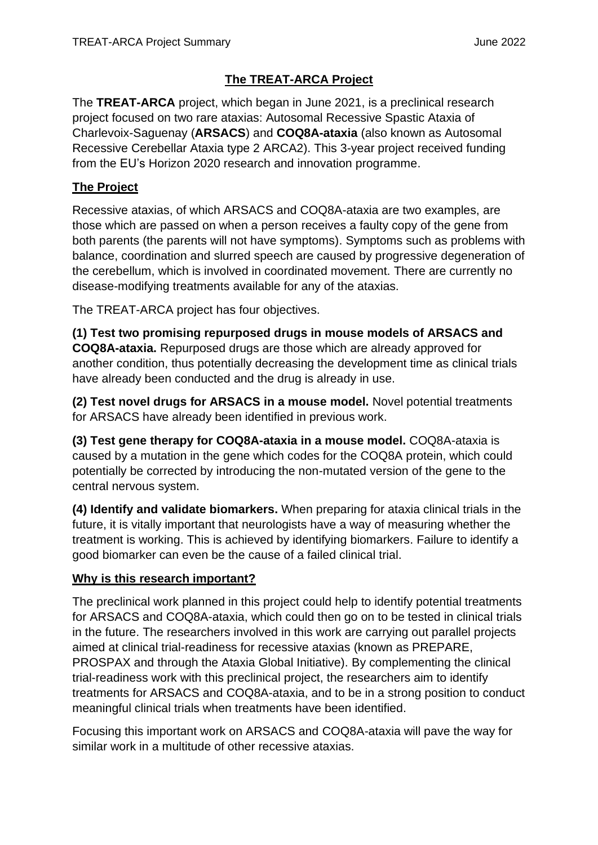# **The TREAT-ARCA Project**

The **TREAT-ARCA** project, which began in June 2021, is a preclinical research project focused on two rare ataxias: Autosomal Recessive Spastic Ataxia of Charlevoix-Saguenay (**ARSACS**) and **COQ8A-ataxia** (also known as Autosomal Recessive Cerebellar Ataxia type 2 ARCA2). This 3-year project received funding from the EU's Horizon 2020 research and innovation programme.

## **The Project**

Recessive ataxias, of which ARSACS and COQ8A-ataxia are two examples, are those which are passed on when a person receives a faulty copy of the gene from both parents (the parents will not have symptoms). Symptoms such as problems with balance, coordination and slurred speech are caused by progressive degeneration of the cerebellum, which is involved in coordinated movement. There are currently no disease-modifying treatments available for any of the ataxias.

The TREAT-ARCA project has four objectives.

**(1) Test two promising repurposed drugs in mouse models of ARSACS and COQ8A-ataxia.** Repurposed drugs are those which are already approved for another condition, thus potentially decreasing the development time as clinical trials have already been conducted and the drug is already in use.

**(2) Test novel drugs for ARSACS in a mouse model.** Novel potential treatments for ARSACS have already been identified in previous work.

**(3) Test gene therapy for COQ8A-ataxia in a mouse model.** COQ8A-ataxia is caused by a mutation in the gene which codes for the COQ8A protein, which could potentially be corrected by introducing the non-mutated version of the gene to the central nervous system.

**(4) Identify and validate biomarkers.** When preparing for ataxia clinical trials in the future, it is vitally important that neurologists have a way of measuring whether the treatment is working. This is achieved by identifying biomarkers. Failure to identify a good biomarker can even be the cause of a failed clinical trial.

## **Why is this research important?**

The preclinical work planned in this project could help to identify potential treatments for ARSACS and COQ8A-ataxia, which could then go on to be tested in clinical trials in the future. The researchers involved in this work are carrying out parallel projects aimed at clinical trial-readiness for recessive ataxias (known as PREPARE, PROSPAX and through the Ataxia Global Initiative). By complementing the clinical trial-readiness work with this preclinical project, the researchers aim to identify treatments for ARSACS and COQ8A-ataxia, and to be in a strong position to conduct meaningful clinical trials when treatments have been identified.

Focusing this important work on ARSACS and COQ8A-ataxia will pave the way for similar work in a multitude of other recessive ataxias.